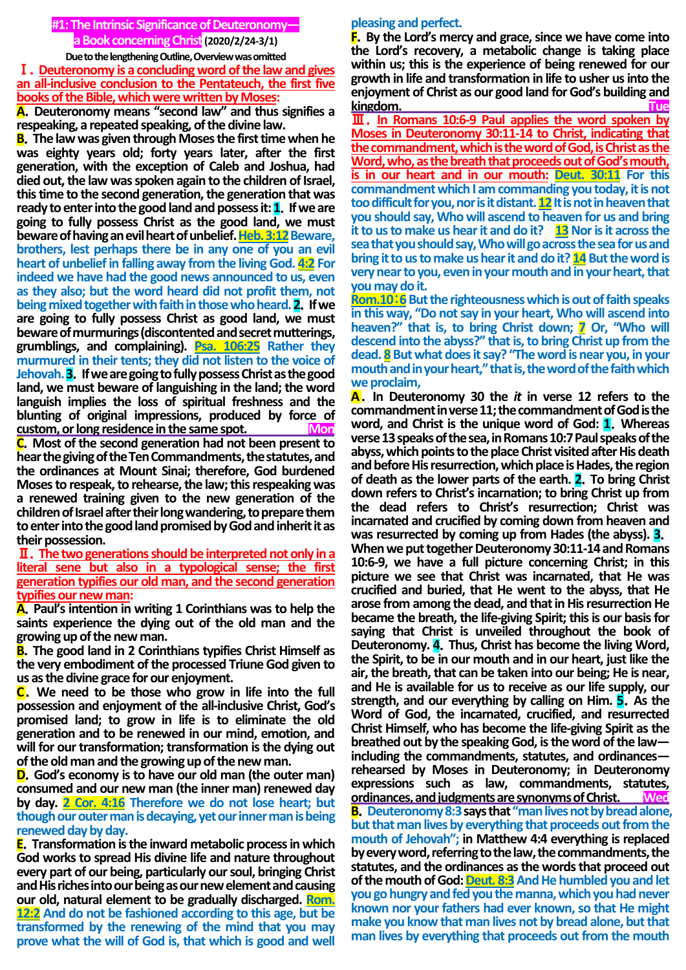# **#1:The Intrinsic Significance of Deuteronomy a Book concerning Christ(2020/2/24-3/1)**

#### **Due to the lengthening Outline, Overview was omitted** Ⅰ.**Deuteronomy is a concluding word of the law and gives an all-inclusive conclusion to the Pentateuch, the first five books of the Bible, which were written by Moses:**

**A**.**Deuteronomy means "second law" and thus signifies a respeaking, a repeated speaking, of the divine law.**

**B**.**The law was given through Moses the first time when he was eighty years old; forty years later, after the first generation, with the exception of Caleb and Joshua, had died out, the law was spoken again to the children of Israel, this time to the second generation, the generation that was ready to enter into the good land and possess it: 1**.**If we are going to fully possess Christ as the good land, we must**  beware of having an evil heart of unbelief. **Heb. 3:12** Beware, **brothers, lest perhaps there be in any one of you an evil heart of unbelief in falling away from the living God. 4:2 For indeed we have had the good news announced to us, even as they also; but the word heard did not profit them, not being mixed together with faith in those who heard. 2**.**If we are going to fully possess Christ as good land, we must beware of murmurings (discontented and secret mutterings, grumblings, and complaining). Psa. 106:25 Rather they murmured in their tents; they did not listen to the voice of Jehovah.3**.**If we are going to fully possess Christ as the good land, we must beware of languishing in the land; the word languish implies the loss of spiritual freshness and the blunting of original impressions, produced by force of custom, or long residence in the same spot. Mon**

**C**.**Most of the second generation had not been present to hear the giving of the Ten Commandments, the statutes, and the ordinances at Mount Sinai; therefore, God burdened Moses to respeak, to rehearse, the law; this respeaking was a renewed training given to the new generation of the children of Israel after their long wandering, to prepare them to enter into the good land promised by God and inherit it as their possession.**

Ⅱ.**The two generations should be interpreted not only ina literal sene but also in a typological sense; the first generation typifies our old man, and the second generation typifies our new man:** 

**A**.**Paul's intention in writing 1 Corinthians was to help the saints experience the dying out of the old man and the growing up of the new man.**

**B**.**The good land in 2 Corinthians typifies Christ Himself as the very embodiment of the processed Triune God given to us as the divine grace for our enjoyment.**

**C**.**We need to be those who grow in life into the full possession and enjoyment of the all-inclusive Christ, God's promised land; to grow in life is to eliminate the old generation and to be renewed in our mind, emotion, and will for our transformation; transformation is the dying out of the old man and the growing up of the new man.**

**D**.**God's economy is to have our old man (the outer man) consumed and our new man (the inner man) renewed day by day. 2 Cor. 4:16 Therefore we do not lose heart; but though our outer man is decaying, yet our inner man is being renewed day by day.**

**E**.**Transformation is the inward metabolic process in which God works to spread His divine life and nature throughout every part of our being, particularly our soul, bringing Christ and His riches into our being as our new element and causing our old, natural element to be gradually discharged. Rom. 12:2 And do not be fashioned according to this age, but be transformed by the renewing of the mind that you may prove what the will of God is, that which is good and well** 

## **pleasing and perfect.**

**F**.**By the Lord's mercy and grace, since we have come into the Lord's recovery, a metabolic change is taking place within us; this is the experience of being renewed for our growth in life and transformation in life to usher us into the enjoyment of Christ as our good land for God's building and kingdom.** 

Ⅲ.**In Romans 10:6-9 Paul applies the word spoken by Moses in Deuteronomy 30:11-14 to Christ, indicating that the commandment, which is the word of God, is Christ as the Word, who, as the breath that proceeds out of God's mouth, is in our heart and in our mouth: Deut. 30:11 For this commandment which I am commanding you today, it is not too difficult for you, nor is it distant. 12It is not in heaven that you should say, Who will ascend to heaven for us and bring it to us to make us hear it and do it?** 13 Nor is it across the **sea that you should say, Who will go across the sea for us and bring it to us to make us hear it and do it? 14 But the word is very near to you, even in your mouth and in your heart, that you may do it.**

**Rom.10:6** But the righteousness which is out of faith speaks **in this way, "Do not say in your heart, Who will ascend into heaven?" that is, to bring Christ down; 7 Or, "Who will descend into the abyss?" that is, to bring Christ up from the dead. 8But what does it say? "The word is near you, in your mouth and in your heart," that is, the word of the faith which we proclaim,**

**A**.**In Deuteronomy 30 the** *it* **in verse 12 refers to the commandment in verse 11; the commandment of God is the word, and Christ is the unique word of God: 1**.**Whereas verse 13 speaks of the sea, in Romans 10:7 Paul speaks of the abyss, which points to the place Christ visited after His death and before His resurrection, which place is Hades, the region of death as the lower parts of the earth. 2**.**To bring Christ down refers to Christ's incarnation; to bring Christ up from the dead refers to Christ's resurrection; Christ was incarnated and crucified by coming down from heaven and was resurrected by coming up from Hades (the abyss). 3**. **When we put together Deuteronomy 30:11-14 and Romans 10:6-9, we have a full picture concerning Christ; in this picture we see that Christ was incarnated, that He was crucified and buried, that He went to the abyss, that He arose from among the dead, and that in His resurrection He became the breath, the life-giving Spirit; this is our basis for saying that Christ is unveiled throughout the book of Deuteronomy. 4**.**Thus, Christ has become the living Word, the Spirit, to be in our mouth and in our heart, just like the air, the breath, that can be taken into our being; He is near, and He is available for us to receive as our life supply, our strength, and our everything by calling on Him. 5**.**As the Word of God, the incarnated, crucified, and resurrected Christ Himself, who has become the life-giving Spirit as the breathed out by the speaking God, is the word of the law including the commandments, statutes, and ordinances rehearsed by Moses in Deuteronomy; in Deuteronomy expressions such as law, commandments, statutes, ordinances, and judgments are synonyms of Christ. Wed B**. Deuteronomy 8:3 says that "man lives not by bread alone, **but that man lives by everything that proceeds out from the mouth of Jehovah"; in Matthew 4:4 everything is replaced by every word, referring to the law, the commandments, the statutes, and the ordinances as the words that proceed out**  of the mouth of God: **Deut. 8:3** And He humbled you and let **you go hungry and fed you the manna, which you had never known nor your fathers had ever known, so that He might make you know that man lives not by bread alone, but that man lives by everything that proceeds out from the mouth**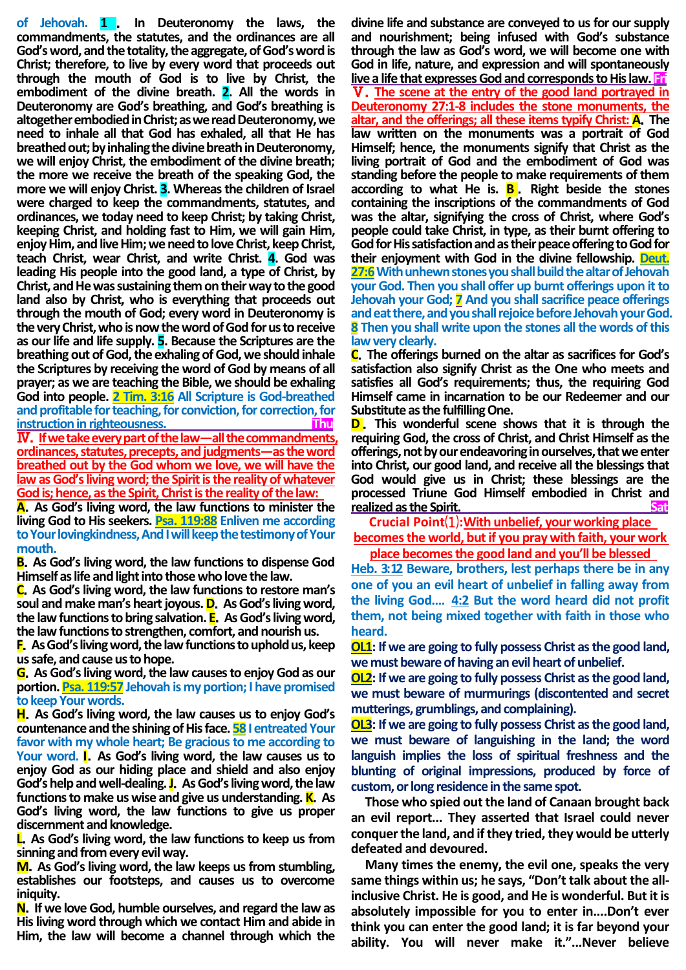**of Jehovah. 1** . **In Deuteronomy the laws, the commandments, the statutes, and the ordinances are all God's word, and the totality, the aggregate, of God's word is Christ; therefore, to live by every word that proceeds out through the mouth of God is to live by Christ, the embodiment of the divine breath. 2. All the words in Deuteronomy are God's breathing, and God's breathing is altogether embodied in Christ; as we read Deuteronomy, we need to inhale all that God has exhaled, all that He has breathed out; by inhaling the divine breath in Deuteronomy, we will enjoy Christ, the embodiment of the divine breath; the more we receive the breath of the speaking God, the more we will enjoy Christ. 3. Whereas the children of Israel were charged to keep the commandments, statutes, and ordinances, we today need to keep Christ; by taking Christ, keeping Christ, and holding fast to Him, we will gain Him, enjoy Him, and live Him; we need to love Christ, keep Christ, teach Christ, wear Christ, and write Christ. 4. God was leading His people into the good land, a type of Christ, by Christ, and He was sustaining them on their way to the good land also by Christ, who is everything that proceeds out through the mouth of God; every word in Deuteronomy is**  the very Christ, who is now the word of God for us to receive **as our life and life supply. 5. Because the Scriptures are the breathing out of God, the exhaling of God, we should inhale the Scriptures by receiving the word of God by means of all prayer; as we are teaching the Bible, we should be exhaling God into people. 2 Tim. 3:16 All Scripture is God-breathed and profitable for teaching, for conviction, for correction, for instruction in righteousness.** Ⅳ.**If we take every part of the law—all the commandments,** 

**ordinances, statutes, precepts, and judgments—as the word breathed out by the God whom we love, we will have the law as God's living word; the Spirit is the reality of whatever God is; hence, as the Spirit, Christ is the reality of the law:** 

**A**.**As God's living word, the law functions to minister the living God to His seekers. Psa. 119:88 Enliven me according to Your lovingkindness, And I will keep the testimony of Your mouth.**

**B**.**As God's living word, the law functions to dispense God Himself as life and light into those who love the law.**

**C**.**As God's living word, the law functions to restore man's soul and make man's heart joyous. D**.**As God's living word, the law functions to bring salvation. E**.**As God's living word, the law functions to strengthen, comfort, and nourish us.**

**F**.**As God's living word, the law functions to uphold us, keep us safe, and cause us to hope.**

**G**.**As God's living word, the law causes to enjoy God as our portion. Psa. 119:57 Jehovah is my portion; I have promised to keep Your words.**

**H**.**As God's living word, the law causes us to enjoy God's countenance and the shining of His face. 58 I entreated Your favor with my whole heart; Be gracious to me according to Your word. I**.**As God's living word, the law causes us to enjoy God as our hiding place and shield and also enjoy God's help and well-dealing.J**.**As God's living word, the law functions to make us wise and give us understanding. K**.**As God's living word, the law functions to give us proper discernment and knowledge.**

**L**.**As God's living word, the law functions to keep us from sinning and from every evil way.**

**M**.**As God's living word, the law keeps us from stumbling, establishes our footsteps, and causes us to overcome iniquity.**

**N**.**If we love God, humble ourselves, and regard the law as His living word through which we contact Him and abide in Him, the law will become a channel through which the** 

**divine life and substance are conveyed to us for our supply and nourishment; being infused with God's substance through the law as God's word, we will become one with God in life, nature, and expression and will spontaneously live a life that expresses God and corresponds to His law. Fri** Ⅴ.**The scene at the entry of the good land portrayed in Deuteronomy 27:1-8 includes the stone monuments, the altar, and the offerings; all these items typify Christ: A**.**The law written on the monuments was a portrait of God Himself; hence, the monuments signify that Christ as the living portrait of God and the embodiment of God was standing before the people to make requirements of them according to what He is. B** . **Right beside the stones containing the inscriptions of the commandments of God was the altar, signifying the cross of Christ, where God's people could take Christ, in type, as their burnt offering to God for His satisfaction and as their peace offering to God for their enjoyment with God in the divine fellowship. Deut. 27:6** With unhewn stones you shall build the altar of Jehovah **your God. Then you shall offer up burnt offerings upon it to Jehovah your God; 7 And you shall sacrifice peace offerings and eat there, and you shall rejoice before Jehovah your God. 8 Then you shall write upon the stones all the words of this law very clearly.**

**C**.**The offerings burned on the altar as sacrifices for God's satisfaction also signify Christ as the One who meets and satisfies all God's requirements; thus, the requiring God Himself came in incarnation to be our Redeemer and our Substitute as the fulfilling One.**

**D**. This wonderful scene shows that it is through the **requiring God, the cross of Christ, and Christ Himself as the offerings, not by our endeavoring in ourselves, that we enter into Christ, our good land, and receive all the blessings that God would give us in Christ; these blessings are the processed Triune God Himself embodied in Christ and realized as the Spirit.** 

**Crucial Point**⑴**:With unbelief, your working place** 

**becomes the world, butif you pray with faith, your work place becomes the good land and you'll be blessed** 

**Heb. 3:12 Beware, brothers, lest perhaps there be in any one of you an evil heart of unbelief in falling away from the living God.… 4:2 But the word heard did not profit them, not being mixed together with faith in those who heard.**

**OL1: If we are going to fully possess Christ as the good land, we must beware of having an evil heart of unbelief.** 

**OL2: If we are going to fully possess Christ as the good land, we must beware of murmurings (discontented and secret mutterings, grumblings, and complaining).** 

**OL3: If we are going to fully possess Christ as the good land, we must beware of languishing in the land; the word languish implies the loss of spiritual freshness and the blunting of original impressions, produced by force of custom, or long residence in the same spot.** 

**Those who spied out the land of Canaan brought back an evil report... They asserted that Israel could never conquer the land, and if they tried, they would be utterly defeated and devoured.**

**Many times the enemy, the evil one, speaks the very same things within us; he says, "Don't talk about the allinclusive Christ. He is good, and He is wonderful. But it is absolutely impossible for you to enter in....Don't ever think you can enter the good land; it is far beyond your ability. You will never make it."...Never believe**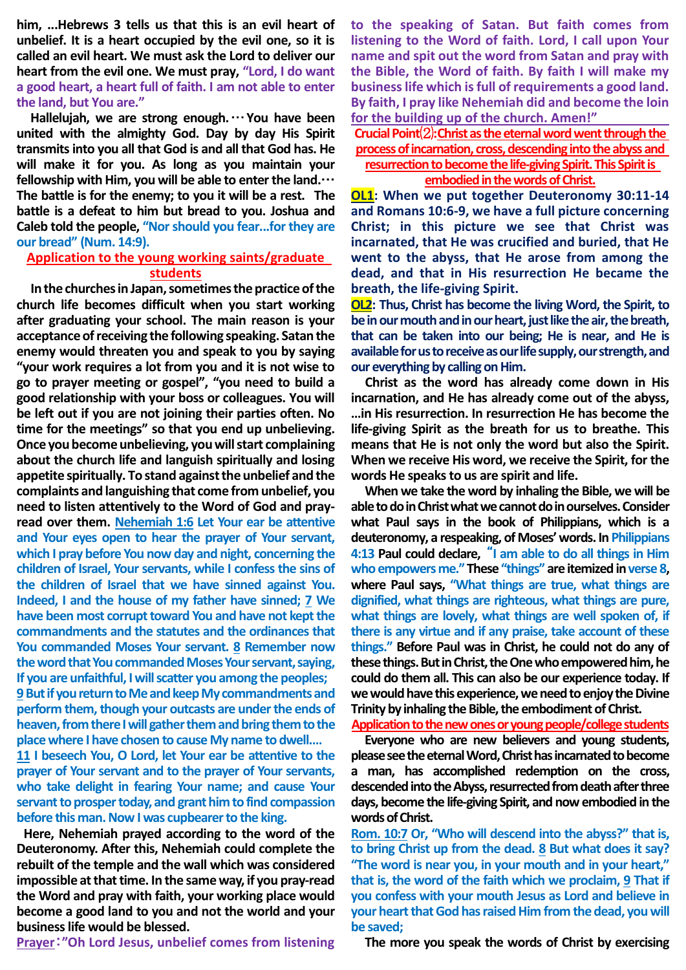**him, ...Hebrews 3 tells us that this is an evil heart of unbelief. It is a heart occupied by the evil one, so it is called an evil heart. We must ask the Lord to deliver our heart from the evil one. We must pray, "Lord, I do want a good heart, a heart full of faith. I am not able to enter the land, but You are."**

**Hallelujah, we are strong enough.**…**You have been united with the almighty God. Day by day His Spirit transmits into you all that God is and all that God has. He will make it for you. As long as you maintain your fellowship with Him, you will be able to enter the land.**… **The battle is for the enemy; to you it will be a rest. The battle is a defeat to him but bread to you. Joshua and Caleb told the people, "Nor should you fear...for they are our bread" (Num. 14:9).**

# **Application to the young working saints/graduate students**

**In the churches in Japan, sometimes the practice of the church life becomes difficult when you start working after graduating your school. The main reason is your acceptance of receiving the following speaking. Satan the enemy would threaten you and speak to you by saying "your work requires a lot from you and it is not wise to go to prayer meeting or gospel", "you need to build a good relationship with your boss or colleagues. You will be left out if you are not joining their parties often. No time for the meetings" so that you end up unbelieving. Once you become unbelieving, you will start complaining about the church life and languish spiritually and losing appetite spiritually. To stand against the unbelief and the complaints and languishing that come from unbelief, you need to listen attentively to the Word of God and prayread over them. Nehemiah 1:6 Let Your ear be attentive and Your eyes open to hear the prayer of Your servant, which I pray before You now day and night, concerning the children of Israel, Your servants, while I confess the sins of the children of Israel that we have sinned against You. Indeed, I and the house of my father have sinned; 7 We have been most corrupt toward You and have not kept the commandments and the statutes and the ordinances that You commanded Moses Your servant. 8 Remember now the word that You commanded Moses Your servant, saying, If you are unfaithful, I will scatter you among the peoples;** 

**9But if you return to Me and keep My commandments and perform them, though your outcasts are under the ends of heaven, from there I will gather them and bring them to the place where I have chosen to cause My name to dwell.…**

**11 I beseech You, O Lord, let Your ear be attentive to the prayer of Your servant and to the prayer of Your servants, who take delight in fearing Your name; and cause Your servant to prosper today, and grant him to find compassion before this man. Now I was cupbearer to the king.**

**Here, Nehemiah prayed according to the word of the Deuteronomy. After this, Nehemiah could complete the rebuilt of the temple and the wall which was considered impossible at that time. In the same way, if you pray-read the Word and pray with faith, your working place would become a good land to you and not the world and your business life would be blessed.** 

**Prayer**:**"Oh Lord Jesus, unbelief comes from listening** 

**to the speaking of Satan. But faith comes from listening to the Word of faith. Lord, I call upon Your name and spit out the word from Satan and pray with the Bible, the Word of faith. By faith I will make my business life which is full of requirements a good land. By faith, I pray like Nehemiah did and become the loin for the building up of the church. Amen!"**

**Crucial Point**⑵**:Christ as the eternal word went through the process of incarnation, cross, descending into the abyss and resurrection to become the life-giving Spirit. This Spirit is embodied in the words of Christ.**

**OL1: When we put together Deuteronomy 30:11-14 and Romans 10:6-9, we have a full picture concerning Christ; in this picture we see that Christ was incarnated, that He was crucified and buried, that He went to the abyss, that He arose from among the dead, and that in His resurrection He became the breath, the life-giving Spirit.**

**OL2: Thus, Christ has become the living Word, the Spirit, to be in our mouth and in our heart, just like the air, the breath, that can be taken into our being; He is near, and He is available for us to receive as our life supply, our strength, and our everything by calling on Him.**

**Christ as the word has already come down in His incarnation, and He has already come out of the abyss, …in His resurrection. In resurrection He has become the life-giving Spirit as the breath for us to breathe. This means that He is not only the word but also the Spirit. When we receive His word, we receive the Spirit, for the words He speaks to us are spirit and life.**

**When we take the word by inhaling the Bible, we will be able to do in Christ what we cannot do in ourselves. Consider what Paul says in the book of Philippians, which is a deuteronomy, a respeaking, of Moses' words. In Philippians 4:13 Paul could declare,** "**I am able to do all things in Him who empowers me." These "things" are itemized in verse 8, where Paul says, "What things are true, what things are dignified, what things are righteous, what things are pure, what things are lovely, what things are well spoken of, if there is any virtue and if any praise, take account of these things." Before Paul was in Christ, he could not do any of these things. But in Christ, the One who empowered him, he could do them all. This can also be our experience today. If we would have this experience, we need to enjoy the Divine Trinity by inhaling the Bible, the embodiment of Christ.**

**Application to the new ones or young people/college students**

**Everyone who are new believers and young students, please see the eternal Word, Christ has incarnated to become a man, has accomplished redemption on the cross, descended into the Abyss, resurrected from death after three days, become the life-giving Spirit, and now embodied in the words of Christ.**

**Rom. 10:7 Or, "Who will descend into the abyss?" that is, to bring Christ up from the dead. 8 But what does it say? "The word is near you, in your mouth and in your heart," that is, the word of the faith which we proclaim, 9 That if you confess with your mouth Jesus as Lord and believe in your heart that God has raised Him from the dead, you will be saved;**

**The more you speak the words of Christ by exercising**